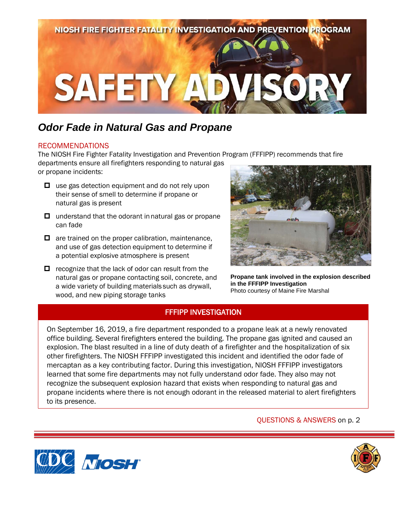

# *Odor Fade in Natural Gas and Propane*

#### RECOMMENDATIONS

The NIOSH Fire Fighter Fatality Investigation and Prevention Program (FFFIPP) recommends that fire

departments ensure all firefighters responding to natural gas or propane incidents:

- $\Box$  use gas detection equipment and do not rely upon their sense of smell to determine if propane or natural gas is present
- $\Box$  understand that the odorant in natural gas or propane can fade
- $\Box$  are trained on the proper calibration, maintenance, and use of gas detection equipment to determine if a potential explosive atmosphere is present
- $\Box$  recognize that the lack of odor can result from the natural gas or propane contacting soil, concrete, and a wide variety of building materials such as drywall, wood, and new piping storage tanks



**Propane tank involved in the explosion described in the FFFIPP Investigation**  Photo courtesy of Maine Fire Marshal

### FFFIPP INVESTIGATION

On September 16, 2019, a fire department responded to a propane leak at a newly renovated office building. Several firefighters entered the building. The propane gas ignited and caused an explosion. The blast resulted in a line of duty death of a firefighter and the hospitalization of six other firefighters. The NIOSH FFFIPP investigated this incident and identified the odor fade of mercaptan as a key contributing factor. During this investigation, NIOSH FFFIPP investigators learned that some fire departments may not fully understand odor fade. They also may not recognize the subsequent explosion hazard that exists when responding to natural gas and propane incidents where there is not enough odorant in the released material to alert firefighters to its presence.

#### QUESTIONS & ANSWERS on p. 2